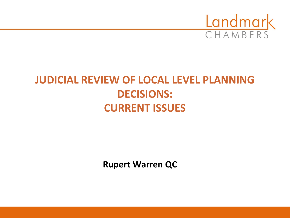

### **JUDICIAL REVIEW OF LOCAL LEVEL PLANNING DECISIONS: CURRENT ISSUES**

**Rupert Warren QC**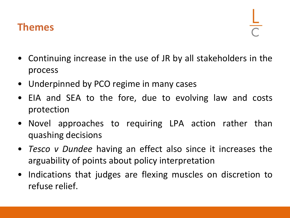#### **Themes**

- Continuing increase in the use of JR by all stakeholders in the process
- Underpinned by PCO regime in many cases
- EIA and SEA to the fore, due to evolving law and costs protection
- Novel approaches to requiring LPA action rather than quashing decisions
- *Tesco v Dundee* having an effect also since it increases the arguability of points about policy interpretation
- Indications that judges are flexing muscles on discretion to refuse relief.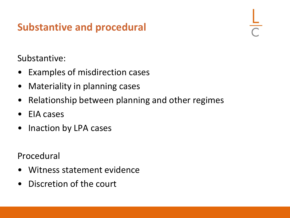### **Substantive and procedural**

Substantive:

- Examples of misdirection cases
- Materiality in planning cases
- Relationship between planning and other regimes
- EIA cases
- Inaction by LPA cases

Procedural

- Witness statement evidence
- Discretion of the court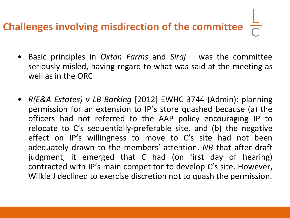# **Challenges involving misdirection of the committee**

- Basic principles in *Oxton Farms* and *Siraj –* was the committee seriously misled, having regard to what was said at the meeting as well as in the ORC
- *R(E&A Estates) v LB Barking* [2012] EWHC 3744 (Admin): planning permission for an extension to IP's store quashed because (a) the officers had not referred to the AAP policy encouraging IP to relocate to C's sequentially-preferable site, and (b) the negative effect on IP's willingness to move to C's site had not been adequately drawn to the members' attention. *NB* that after draft judgment, it emerged that C had (on first day of hearing) contracted with IP's main competitor to develop C's site. However, Wilkie J declined to exercise discretion not to quash the permission.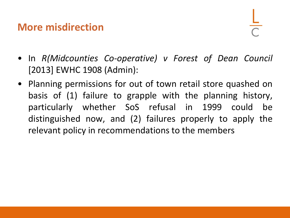#### **More misdirection**

- In *R(Midcounties Co-operative) v Forest of Dean Council* [2013] EWHC 1908 (Admin):
- Planning permissions for out of town retail store quashed on basis of (1) failure to grapple with the planning history, particularly whether SoS refusal in 1999 could be distinguished now, and (2) failures properly to apply the relevant policy in recommendations to the members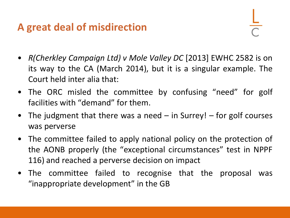### **A great deal of misdirection**

- *R(Cherkley Campaign Ltd) v Mole Valley DC* [2013] EWHC 2582 is on its way to the CA (March 2014), but it is a singular example. The Court held inter alia that:
- The ORC misled the committee by confusing "need" for golf facilities with "demand" for them.
- The judgment that there was a need  $-$  in Surrey!  $-$  for golf courses was perverse
- The committee failed to apply national policy on the protection of the AONB properly (the "exceptional circumstances" test in NPPF 116) and reached a perverse decision on impact
- The committee failed to recognise that the proposal was "inappropriate development" in the GB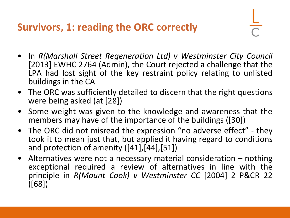**Survivors, 1: reading the ORC correctly** 

- In *R(Marshall Street Regeneration Ltd) v Westminster City Council* [2013] EWHC 2764 (Admin), the Court rejected a challenge that the LPA had lost sight of the key restraint policy relating to unlisted buildings in the CA
- The ORC was sufficiently detailed to discern that the right questions were being asked (at [28])
- Some weight was given to the knowledge and awareness that the members may have of the importance of the buildings ([30])
- The ORC did not misread the expression "no adverse effect" they took it to mean just that, but applied it having regard to conditions and protection of amenity ([41],[44],[51])
- Alternatives were not a necessary material consideration nothing exceptional required a review of alternatives in line with the principle in *R(Mount Cook) v Westminster CC* [2004] 2 P&CR 22 ([68])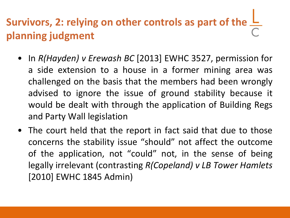## **Survivors, 2: relying on other controls as part of the planning judgment**

- In *R(Hayden) v Erewash BC* [2013] EWHC 3527, permission for a side extension to a house in a former mining area was challenged on the basis that the members had been wrongly advised to ignore the issue of ground stability because it would be dealt with through the application of Building Regs and Party Wall legislation
- The court held that the report in fact said that due to those concerns the stability issue "should" not affect the outcome of the application, not "could" not, in the sense of being legally irrelevant (contrasting *R(Copeland) v LB Tower Hamlets* [2010] EWHC 1845 Admin)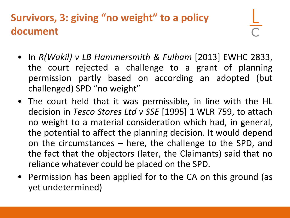### **Survivors, 3: giving "no weight" to a policy document**

- In *R(Wakil) v LB Hammersmith & Fulham* [2013] EWHC 2833, the court rejected a challenge to a grant of planning permission partly based on according an adopted (but challenged) SPD "no weight"
- The court held that it was permissible, in line with the HL decision in *Tesco Stores Ltd v SSE* [1995] 1 WLR 759, to attach no weight to a material consideration which had, in general, the potential to affect the planning decision. It would depend on the circumstances – here, the challenge to the SPD, and the fact that the objectors (later, the Claimants) said that no reliance whatever could be placed on the SPD.
- Permission has been applied for to the CA on this ground (as yet undetermined)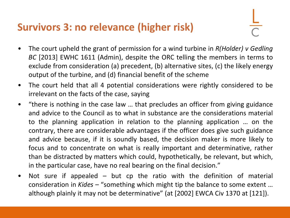### **Survivors 3: no relevance (higher risk)**

- The court upheld the grant of permission for a wind turbine in *R(Holder) v Gedling BC* [2013] EWHC 1611 (Admin), despite the ORC telling the members in terms to exclude from consideration (a) precedent, (b) alternative sites, (c) the likely energy output of the turbine, and (d) financial benefit of the scheme
- The court held that all 4 potential considerations were rightly considered to be irrelevant on the facts of the case, saying
- "there is nothing in the case law … that precludes an officer from giving guidance and advice to the Council as to what in substance are the considerations material to the planning application in relation to the planning application … on the contrary, there are considerable advantages if the officer does give such guidance and advice because, if it is soundly based, the decision maker is more likely to focus and to concentrate on what is really important and determinative, rather than be distracted by matters which could, hypothetically, be relevant, but which, in the particular case, have no real bearing on the final decision."
- Not sure if appealed but cp the ratio with the definition of material consideration in *Kides* – "something which might tip the balance to some extent … although plainly it may not be determinative" (at [2002] EWCA Civ 1370 at [121]).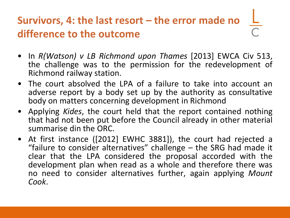### Survivors, 4: the last resort – the error made no **difference to the outcome**

- In *R(Watson) v LB Richmond upon Thames* [2013] EWCA Civ 513, the challenge was to the permission for the redevelopment of Richmond railway station.
- The court absolved the LPA of a failure to take into account an adverse report by a body set up by the authority as consultative body on matters concerning development in Richmond
- Applying *Kides*, the court held that the report contained nothing that had not been put before the Council already in other material summarise din the ORC.
- At first instance ([2012] EWHC 3881]), the court had rejected a "failure to consider alternatives" challenge – the SRG had made it clear that the LPA considered the proposal accorded with the development plan when read as a whole and therefore there was no need to consider alternatives further, again applying *Mount Cook*.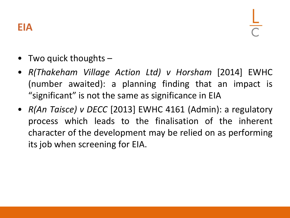### **EIA**

- Two quick thoughts  $-$
- *R(Thakeham Village Action Ltd) v Horsham* [2014] EWHC (number awaited): a planning finding that an impact is "significant" is not the same as significance in EIA
- *R(An Taisce) v DECC* [2013] EWHC 4161 (Admin): a regulatory process which leads to the finalisation of the inherent character of the development may be relied on as performing its job when screening for EIA.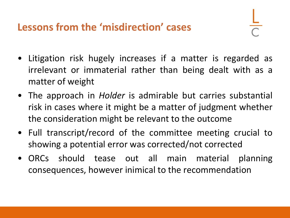### **Lessons from the 'misdirection' cases**

- Litigation risk hugely increases if a matter is regarded as irrelevant or immaterial rather than being dealt with as a matter of weight
- The approach in *Holder* is admirable but carries substantial risk in cases where it might be a matter of judgment whether the consideration might be relevant to the outcome
- Full transcript/record of the committee meeting crucial to showing a potential error was corrected/not corrected
- ORCs should tease out all main material planning consequences, however inimical to the recommendation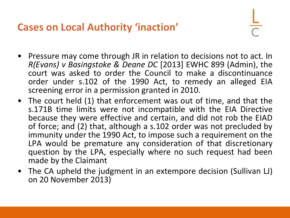**Cases on Local Authority 'inaction'**

- Pressure may come through JR in relation to decisions not to act. In *R(Evans) v Basingstoke & Deane DC* [2013] EWHC 899 (Admin), the court was asked to order the Council to make a discontinuance order under s.102 of the 1990 Act, to remedy an alleged EIA screening error in a permission granted in 2010.
- The court held (1) that enforcement was out of time, and that the s.171B time limits were not incompatible with the EIA Directive because they were effective and certain, and did not rob the EIAD of force; and (2) that, although a s.102 order was not precluded by immunity under the 1990 Act, to impose such a requirement on the LPA would be premature any consideration of that discretionary question by the LPA, especially where no such request had been made by the Claimant
- The CA upheld the judgment in an extempore decision (Sullivan LJ) on 20 November 2013)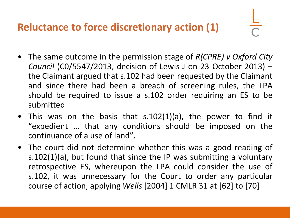### **Reluctance to force discretionary action (1)**

- The same outcome in the permission stage of *R(CPRE) v Oxford City Council* (C0/5547/2013, decision of Lewis J on 23 October 2013) – the Claimant argued that s.102 had been requested by the Claimant and since there had been a breach of screening rules, the LPA should be required to issue a s.102 order requiring an ES to be submitted
- This was on the basis that s.102(1)(a), the power to find it "expedient … that any conditions should be imposed on the continuance of a use of land".
- The court did not determine whether this was a good reading of s.102(1)(a), but found that since the IP was submitting a voluntary retrospective ES, whereupon the LPA could consider the use of s.102, it was unnecessary for the Court to order any particular course of action, applying *Wells* [2004] 1 CMLR 31 at [62] to [70]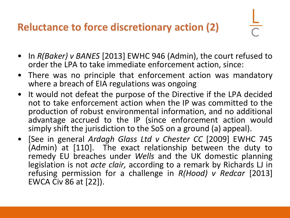### **Reluctance to force discretionary action (2)**

- In *R(Baker) v BANES* [2013] EWHC 946 (Admin), the court refused to order the LPA to take immediate enforcement action, since:
- There was no principle that enforcement action was mandatory where a breach of EIA regulations was ongoing
- It would not defeat the purpose of the Directive if the LPA decided not to take enforcement action when the IP was committed to the production of robust environmental information, and no additional advantage accrued to the IP (since enforcement action would simply shift the jurisdiction to the SoS on a ground (a) appeal).
- [See in general *Ardagh Glass Ltd v Chester CC* [2009] EWHC 745 (Admin) at [110]. The exact relationship between the duty to remedy EU breaches under *Wells* and the UK domestic planning legislation is not *acte clair,* according to a remark by Richards LJ in refusing permission for a challenge in *R(Hood) v Redcar* [2013] EWCA Civ 86 at [22]).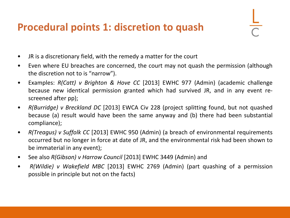### **Procedural points 1: discretion to quash**

- JR is a discretionary field, with the remedy a matter for the court
- Even where EU breaches are concerned, the court may not quash the permission (although the discretion not to is "narrow").
- Examples: *R(Catt) v Brighton & Hove CC* [2013] EWHC 977 (Admin) (academic challenge because new identical permission granted which had survived JR, and in any event rescreened after pp);
- *R(Burridge) v Breckland DC* [2013] EWCA Civ 228 (project splitting found, but not quashed because (a) result would have been the same anyway and (b) there had been substantial compliance);
- *R(Treagus) v Suffolk CC* [2013] EWHC 950 (Admin) (a breach of environmental requirements occurred but no longer in force at date of JR, and the environmental risk had been shown to be immaterial in any event);
- See also *R(Gibson) v Harrow Council* [2013] EWHC 3449 (Admin) and
- *R(Wildie) v Wakefield MBC* [2013] EWHC 2769 (Admin) (part quashing of a permission possible in principle but not on the facts)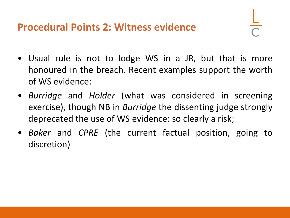#### **Procedural Points 2: Witness evidence**

- Usual rule is not to lodge WS in a JR, but that is more honoured in the breach. Recent examples support the worth of WS evidence:
- *Burridge* and *Holder* (what was considered in screening exercise), though NB in *Burridge* the dissenting judge strongly deprecated the use of WS evidence: so clearly a risk;
- *Baker* and *CPRE* (the current factual position, going to discretion)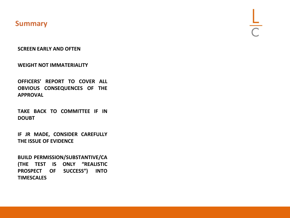#### **Summary**

**SCREEN EARLY AND OFTEN**

**WEIGHT NOT IMMATERIALITY**

**OFFICERS' REPORT TO COVER ALL OBVIOUS CONSEQUENCES OF THE APPROVAL**

**TAKE BACK TO COMMITTEE IF IN DOUBT**

**IF JR MADE, CONSIDER CAREFULLY THE ISSUE OF EVIDENCE**

**BUILD PERMISSION/SUBSTANTIVE/CA (THE TEST IS ONLY "REALISTIC PROSPECT OF SUCCESS") INTO TIMESCALES**